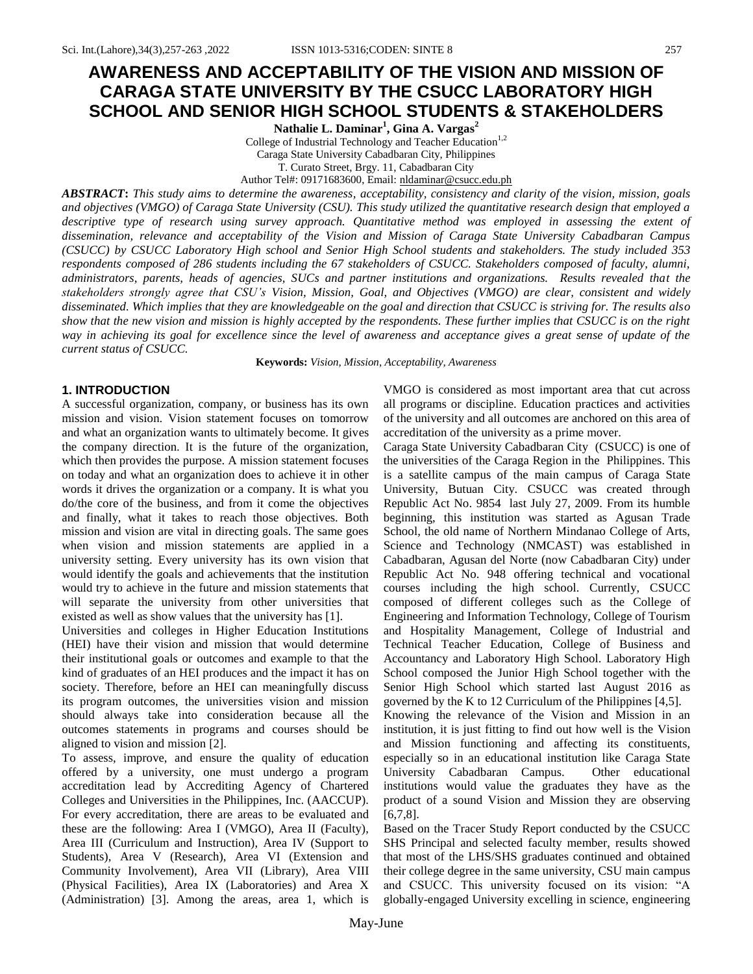# **AWARENESS AND ACCEPTABILITY OF THE VISION AND MISSION OF CARAGA STATE UNIVERSITY BY THE CSUCC LABORATORY HIGH SCHOOL AND SENIOR HIGH SCHOOL STUDENTS & STAKEHOLDERS**

**Nathalie L. Daminar<sup>1</sup> , Gina A. Vargas<sup>2</sup>**

College of Industrial Technology and Teacher Education<sup>1,2</sup> Caraga State University Cabadbaran City, Philippines

T. Curato Street, Brgy. 11, Cabadbaran City

Author Tel#: 09171683600, Email: [nldaminar@csucc.edu.ph](mailto:nldaminar@csucc.edu.ph)

*ABSTRACT***:** *This study aims to determine the awareness, acceptability, consistency and clarity of the vision, mission, goals and objectives (VMGO) of Caraga State University (CSU). This study utilized the quantitative research design that employed a descriptive type of research using survey approach. Quantitative method was employed in assessing the extent of dissemination, relevance and acceptability of the Vision and Mission of Caraga State University Cabadbaran Campus (CSUCC) by CSUCC Laboratory High school and Senior High School students and stakeholders. The study included 353 respondents composed of 286 students including the 67 stakeholders of CSUCC. Stakeholders composed of faculty, alumni, administrators, parents, heads of agencies, SUCs and partner institutions and organizations. Results revealed that the stakeholders strongly agree that CSU's Vision, Mission, Goal, and Objectives (VMGO) are clear, consistent and widely disseminated. Which implies that they are knowledgeable on the goal and direction that CSUCC is striving for. The results also show that the new vision and mission is highly accepted by the respondents. These further implies that CSUCC is on the right way in achieving its goal for excellence since the level of awareness and acceptance gives a great sense of update of the current status of CSUCC.*

**Keywords:** *Vision, Mission, Acceptability, Awareness*

## **1. INTRODUCTION**

A successful organization, company, or business has its own mission and vision. Vision statement focuses on tomorrow and what an organization wants to ultimately become. It gives the company direction. It is the future of the organization, which then provides the purpose. A mission statement focuses on today and what an organization does to achieve it in other words it drives the organization or a company. It is what you do/the core of the business, and from it come the objectives and finally, what it takes to reach those objectives. Both mission and vision are vital in directing goals. The same goes when vision and mission statements are applied in a university setting. Every university has its own vision that would identify the goals and achievements that the institution would try to achieve in the future and mission statements that will separate the university from other universities that existed as well as show values that the university has [1].

Universities and colleges in Higher Education Institutions (HEI) have their vision and mission that would determine their institutional goals or outcomes and example to that the kind of graduates of an HEI produces and the impact it has on society. Therefore, before an HEI can meaningfully discuss its program outcomes, the universities vision and mission should always take into consideration because all the outcomes statements in programs and courses should be aligned to vision and mission [2].

To assess, improve, and ensure the quality of education offered by a university, one must undergo a program accreditation lead by Accrediting Agency of Chartered Colleges and Universities in the Philippines, Inc. (AACCUP). For every accreditation, there are areas to be evaluated and these are the following: Area I (VMGO), Area II (Faculty), Area III (Curriculum and Instruction), Area IV (Support to Students), Area V (Research), Area VI (Extension and Community Involvement), Area VII (Library), Area VIII (Physical Facilities), Area IX (Laboratories) and Area X (Administration) [3]. Among the areas, area 1, which is

VMGO is considered as most important area that cut across all programs or discipline. Education practices and activities of the university and all outcomes are anchored on this area of accreditation of the university as a prime mover.

Caraga State University Cabadbaran City (CSUCC) is one of the universities of the Caraga Region in the Philippines. This is a satellite campus of the main campus of Caraga State University, Butuan City. CSUCC was created through Republic Act No. 9854 last July 27, 2009. From its humble beginning, this institution was started as Agusan Trade School, the old name of Northern Mindanao College of Arts, Science and Technology (NMCAST) was established in Cabadbaran, Agusan del Norte (now Cabadbaran City) under Republic Act No. 948 offering technical and vocational courses including the high school. Currently, CSUCC composed of different colleges such as the College of Engineering and Information Technology, College of Tourism and Hospitality Management, College of Industrial and Technical Teacher Education, College of Business and Accountancy and Laboratory High School. Laboratory High School composed the Junior High School together with the Senior High School which started last August 2016 as governed by the K to 12 Curriculum of the Philippines [4,5].

Knowing the relevance of the Vision and Mission in an institution, it is just fitting to find out how well is the Vision and Mission functioning and affecting its constituents, especially so in an educational institution like Caraga State University Cabadbaran Campus. Other educational institutions would value the graduates they have as the product of a sound Vision and Mission they are observing [6,7,8].

Based on the Tracer Study Report conducted by the CSUCC SHS Principal and selected faculty member, results showed that most of the LHS/SHS graduates continued and obtained their college degree in the same university, CSU main campus and CSUCC. This university focused on its vision: "A globally-engaged University excelling in science, engineering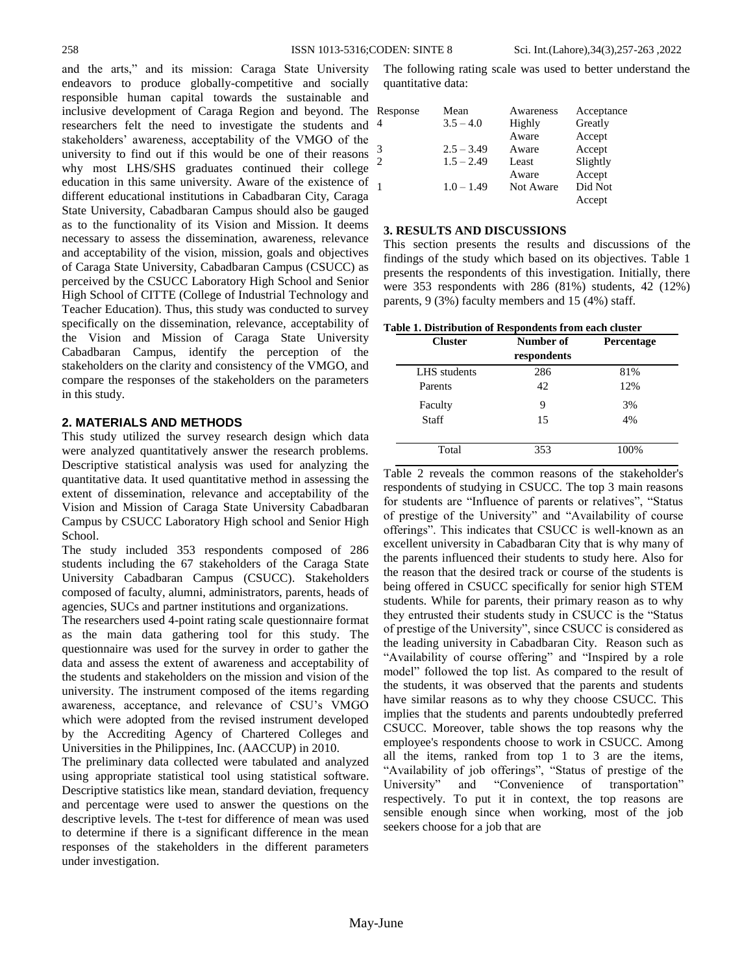and the arts," and its mission: Caraga State University endeavors to produce globally-competitive and socially responsible human capital towards the sustainable and inclusive development of Caraga Region and beyond. The researchers felt the need to investigate the students and stakeholders" awareness, acceptability of the VMGO of the university to find out if this would be one of their reasons why most LHS/SHS graduates continued their college education in this same university. Aware of the existence of different educational institutions in Cabadbaran City, Caraga State University, Cabadbaran Campus should also be gauged as to the functionality of its Vision and Mission. It deems necessary to assess the dissemination, awareness, relevance and acceptability of the vision, mission, goals and objectives of Caraga State University, Cabadbaran Campus (CSUCC) as perceived by the CSUCC Laboratory High School and Senior High School of CITTE (College of Industrial Technology and Teacher Education). Thus, this study was conducted to survey specifically on the dissemination, relevance, acceptability of the Vision and Mission of Caraga State University Cabadbaran Campus, identify the perception of the stakeholders on the clarity and consistency of the VMGO, and compare the responses of the stakeholders on the parameters in this study.

## **2. MATERIALS AND METHODS**

This study utilized the survey research design which data were analyzed quantitatively answer the research problems. Descriptive statistical analysis was used for analyzing the quantitative data. It used quantitative method in assessing the extent of dissemination, relevance and acceptability of the Vision and Mission of Caraga State University Cabadbaran Campus by CSUCC Laboratory High school and Senior High School.

The study included 353 respondents composed of 286 students including the 67 stakeholders of the Caraga State University Cabadbaran Campus (CSUCC). Stakeholders composed of faculty, alumni, administrators, parents, heads of agencies, SUCs and partner institutions and organizations.

The researchers used 4-point rating scale questionnaire format as the main data gathering tool for this study. The questionnaire was used for the survey in order to gather the data and assess the extent of awareness and acceptability of the students and stakeholders on the mission and vision of the university. The instrument composed of the items regarding awareness, acceptance, and relevance of CSU"s VMGO which were adopted from the revised instrument developed by the Accrediting Agency of Chartered Colleges and Universities in the Philippines, Inc. (AACCUP) in 2010.

The preliminary data collected were tabulated and analyzed using appropriate statistical tool using statistical software. Descriptive statistics like mean, standard deviation, frequency and percentage were used to answer the questions on the descriptive levels. The t-test for difference of mean was used to determine if there is a significant difference in the mean responses of the stakeholders in the different parameters under investigation.

The following rating scale was used to better understand the quantitative data:

| Response | Mean         | Awareness | Acceptance |
|----------|--------------|-----------|------------|
| 4        | $3.5 - 4.0$  | Highly    | Greatly    |
|          |              | Aware     | Accept     |
| 3        | $2.5 - 3.49$ | Aware     | Accept     |
| 2        | $1.5 - 2.49$ | Least     | Slightly   |
|          |              | Aware     | Accept     |
| 1        | $1.0 - 1.49$ | Not Aware | Did Not    |
|          |              |           | Accept     |

#### **3. RESULTS AND DISCUSSIONS**

This section presents the results and discussions of the findings of the study which based on its objectives. Table 1 presents the respondents of this investigation. Initially, there were 353 respondents with 286 (81%) students, 42 (12%) parents, 9 (3%) faculty members and 15 (4%) staff.

|  | Table 1. Distribution of Respondents from each cluster |  |  |  |
|--|--------------------------------------------------------|--|--|--|
|--|--------------------------------------------------------|--|--|--|

| <b>Cluster</b> | Number of<br>respondents | <b>Percentage</b> |  |  |  |  |
|----------------|--------------------------|-------------------|--|--|--|--|
| LHS students   | 286                      | 81%               |  |  |  |  |
| Parents        | 42                       | 12%               |  |  |  |  |
| Faculty        | 9                        | 3%                |  |  |  |  |
| <b>Staff</b>   | 15                       | 4%                |  |  |  |  |
|                |                          |                   |  |  |  |  |
| Total          | 353                      | 100%              |  |  |  |  |

Table 2 reveals the common reasons of the stakeholder's respondents of studying in CSUCC. The top 3 main reasons for students are "Influence of parents or relatives", "Status of prestige of the University" and "Availability of course offerings". This indicates that CSUCC is well-known as an excellent university in Cabadbaran City that is why many of the parents influenced their students to study here. Also for the reason that the desired track or course of the students is being offered in CSUCC specifically for senior high STEM students. While for parents, their primary reason as to why they entrusted their students study in CSUCC is the "Status of prestige of the University", since CSUCC is considered as the leading university in Cabadbaran City. Reason such as "Availability of course offering" and "Inspired by a role model" followed the top list. As compared to the result of the students, it was observed that the parents and students have similar reasons as to why they choose CSUCC. This implies that the students and parents undoubtedly preferred CSUCC. Moreover, table shows the top reasons why the employee's respondents choose to work in CSUCC. Among all the items, ranked from top 1 to 3 are the items, "Availability of job offerings", "Status of prestige of the University" and "Convenience of transportation" respectively. To put it in context, the top reasons are sensible enough since when working, most of the job seekers choose for a job that are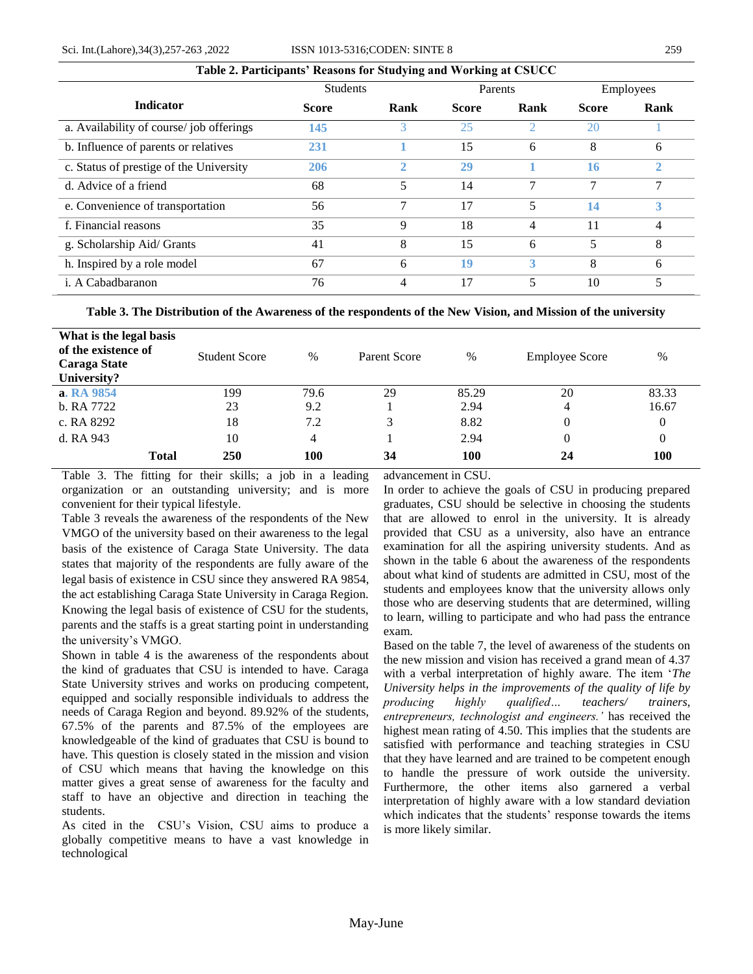|                                         | Tubic 2. I al deipants reasons for braaging and working at Coocce |                |              |      |              |           |
|-----------------------------------------|-------------------------------------------------------------------|----------------|--------------|------|--------------|-----------|
|                                         | <b>Students</b>                                                   |                | Parents      |      |              | Employees |
| <b>Indicator</b>                        | <b>Score</b>                                                      | Rank           | <b>Score</b> | Rank | <b>Score</b> | Rank      |
| a. Availability of course/job offerings | 145                                                               | 3              | 25           | 2    | 20           |           |
| b. Influence of parents or relatives    | 231                                                               |                | 15           | 6    | 8            | 6         |
| c. Status of prestige of the University | 206                                                               | $\overline{2}$ | 29           |      | 16           | 2         |
| d. Advice of a friend                   | 68                                                                | 5              | 14           | 7    | 7            |           |
| e. Convenience of transportation        | 56                                                                | $\overline{7}$ | 17           | 5    | 14           | 3         |
| f. Financial reasons                    | 35                                                                | 9              | 18           | 4    | 11           | 4         |
| g. Scholarship Aid/ Grants              | 41                                                                | 8              | 15           | 6    | 5            | 8         |
| h. Inspired by a role model             | 67                                                                | 6              | 19           | 3    | 8            | 6         |
| i. A Cabadbaranon                       | 76                                                                | 4              | 17           | 5    | 10           | 5         |

## **Table 2. Participants' Reasons for Studying and Working at CSUCC**

## **Table 3. The Distribution of the Awareness of the respondents of the New Vision, and Mission of the university**

| What is the legal basis<br>of the existence of<br><b>Caraga State</b><br>University? | <b>Student Score</b> | $\%$ | Parent Score | $\%$       | <b>Employee Score</b> | $\%$     |
|--------------------------------------------------------------------------------------|----------------------|------|--------------|------------|-----------------------|----------|
| a. RA 9854                                                                           | 199                  | 79.6 | 29           | 85.29      | 20                    | 83.33    |
| b. RA 7722                                                                           | 23                   | 9.2  |              | 2.94       | 4                     | 16.67    |
| c. RA 8292                                                                           | 18                   | 7.2  | 3            | 8.82       | 0                     | 0        |
| d. RA 943                                                                            | 10                   | 4    |              | 2.94       | 0                     | $\theta$ |
| <b>Total</b>                                                                         | 250                  | 100  | 34           | <b>100</b> | 24                    | 100      |

Table 3. The fitting for their skills; a job in a leading organization or an outstanding university; and is more convenient for their typical lifestyle.

Table 3 reveals the awareness of the respondents of the New VMGO of the university based on their awareness to the legal basis of the existence of Caraga State University. The data states that majority of the respondents are fully aware of the legal basis of existence in CSU since they answered RA 9854, the act establishing Caraga State University in Caraga Region. Knowing the legal basis of existence of CSU for the students, parents and the staffs is a great starting point in understanding the university"s VMGO.

Shown in table 4 is the awareness of the respondents about the kind of graduates that CSU is intended to have. Caraga State University strives and works on producing competent, equipped and socially responsible individuals to address the needs of Caraga Region and beyond. 89.92% of the students, 67.5% of the parents and 87.5% of the employees are knowledgeable of the kind of graduates that CSU is bound to have. This question is closely stated in the mission and vision of CSU which means that having the knowledge on this matter gives a great sense of awareness for the faculty and staff to have an objective and direction in teaching the students.

As cited in the CSU"s Vision, CSU aims to produce a globally competitive means to have a vast knowledge in technological

advancement in CSU.

In order to achieve the goals of CSU in producing prepared graduates, CSU should be selective in choosing the students that are allowed to enrol in the university. It is already provided that CSU as a university, also have an entrance examination for all the aspiring university students. And as shown in the table 6 about the awareness of the respondents about what kind of students are admitted in CSU, most of the students and employees know that the university allows only those who are deserving students that are determined, willing to learn, willing to participate and who had pass the entrance exam.

Based on the table 7, the level of awareness of the students on the new mission and vision has received a grand mean of 4.37 with a verbal interpretation of highly aware. The item "*The University helps in the improvements of the quality of life by producing highly qualified… teachers/ trainers, entrepreneurs, technologist and engineers.'* has received the highest mean rating of 4.50. This implies that the students are satisfied with performance and teaching strategies in CSU that they have learned and are trained to be competent enough to handle the pressure of work outside the university. Furthermore, the other items also garnered a verbal interpretation of highly aware with a low standard deviation which indicates that the students' response towards the items is more likely similar.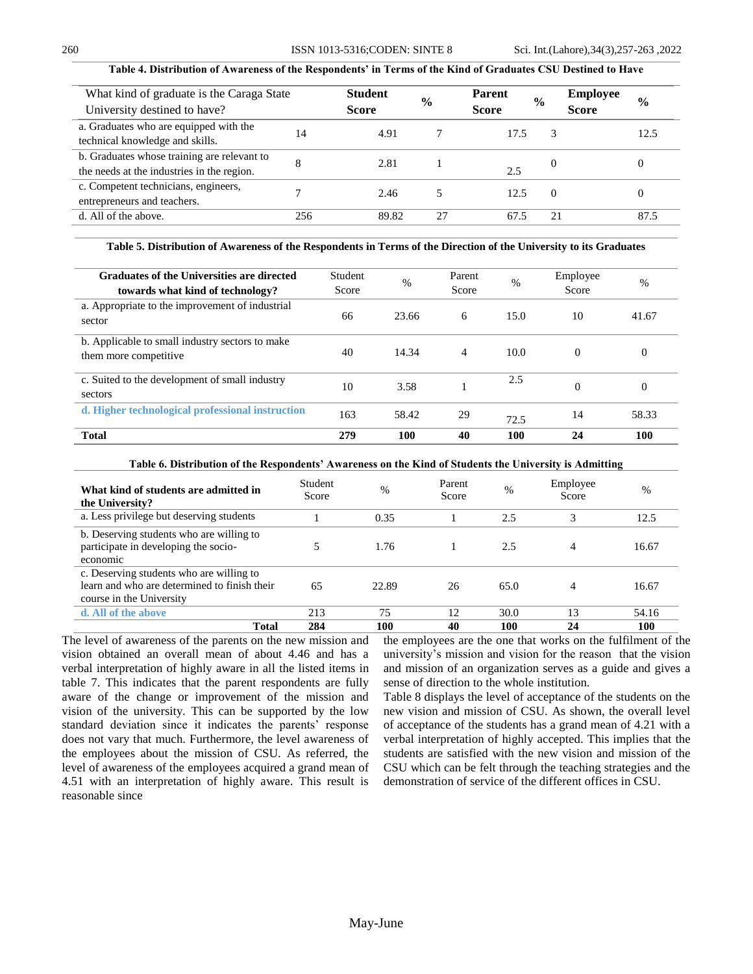## **Table 4. Distribution of Awareness of the Respondents' in Terms of the Kind of Graduates CSU Destined to Have**

| What kind of graduate is the Caraga State<br>University destined to have?                 |     | <b>Student</b><br><b>Score</b> | $\frac{6}{6}$ | <b>Parent</b><br><b>Score</b> | $\frac{0}{0}$ | <b>Employee</b><br><b>Score</b> | $\frac{0}{0}$ |
|-------------------------------------------------------------------------------------------|-----|--------------------------------|---------------|-------------------------------|---------------|---------------------------------|---------------|
| a. Graduates who are equipped with the<br>technical knowledge and skills.                 | 14  | 4.91                           |               | 17.5                          | 3             |                                 | 12.5          |
| b. Graduates whose training are relevant to<br>the needs at the industries in the region. |     | 2.81                           |               | 2.5                           | $\theta$      |                                 | $\theta$      |
| c. Competent technicians, engineers,<br>entrepreneurs and teachers.                       |     | 2.46                           |               | 12.5                          | $\Omega$      |                                 | 0             |
| d. All of the above.                                                                      | 256 | 89.82                          | 27            | 67.5                          | 21            |                                 | 87.5          |

**Table 5. Distribution of Awareness of the Respondents in Terms of the Direction of the University to its Graduates**

| Graduates of the Universities are directed<br>towards what kind of technology? | Student<br>Score | $\%$  | Parent<br>Score | $\%$ | Employee<br>Score | $\frac{0}{0}$ |
|--------------------------------------------------------------------------------|------------------|-------|-----------------|------|-------------------|---------------|
| a. Appropriate to the improvement of industrial<br>sector                      | 66               | 23.66 | 6               | 15.0 | 10                | 41.67         |
| b. Applicable to small industry sectors to make<br>them more competitive       | 40               | 14.34 | $\overline{4}$  | 10.0 | $\Omega$          | $\Omega$      |
| c. Suited to the development of small industry<br>sectors                      | 10               | 3.58  |                 | 2.5  | $\Omega$          | $\Omega$      |
| d. Higher technological professional instruction                               | 163              | 58.42 | 29              | 72.5 | 14                | 58.33         |
| <b>Total</b>                                                                   | 279              | 100   | 40              | 100  | 24                | 100           |

**Table 6. Distribution of the Respondents' Awareness on the Kind of Students the University is Admitting**

| What kind of students are admitted in<br>the University?                                                             | Student<br>Score | $\%$  | Parent<br>Score | $\%$ | Employee<br>Score | %     |
|----------------------------------------------------------------------------------------------------------------------|------------------|-------|-----------------|------|-------------------|-------|
| a. Less privilege but deserving students                                                                             |                  | 0.35  |                 | 2.5  | 3                 | 12.5  |
| b. Deserving students who are willing to<br>participate in developing the socio-<br>economic                         |                  | 1.76  |                 | 2.5  | 4                 | 16.67 |
| c. Deserving students who are willing to<br>learn and who are determined to finish their<br>course in the University | 65               | 22.89 | 26              | 65.0 | 4                 | 16.67 |
| d. All of the above                                                                                                  | 213              | 75    | 12              | 30.0 | 13                | 54.16 |
| Total                                                                                                                | 284              | 100   | 40              | 100  | 24                | 100   |

The level of awareness of the parents on the new mission and vision obtained an overall mean of about 4.46 and has a verbal interpretation of highly aware in all the listed items in table 7. This indicates that the parent respondents are fully aware of the change or improvement of the mission and vision of the university. This can be supported by the low standard deviation since it indicates the parents' response does not vary that much. Furthermore, the level awareness of the employees about the mission of CSU. As referred, the level of awareness of the employees acquired a grand mean of 4.51 with an interpretation of highly aware. This result is reasonable since

the employees are the one that works on the fulfilment of the university"s mission and vision for the reason that the vision and mission of an organization serves as a guide and gives a sense of direction to the whole institution.

Table 8 displays the level of acceptance of the students on the new vision and mission of CSU. As shown, the overall level of acceptance of the students has a grand mean of 4.21 with a verbal interpretation of highly accepted. This implies that the students are satisfied with the new vision and mission of the CSU which can be felt through the teaching strategies and the demonstration of service of the different offices in CSU.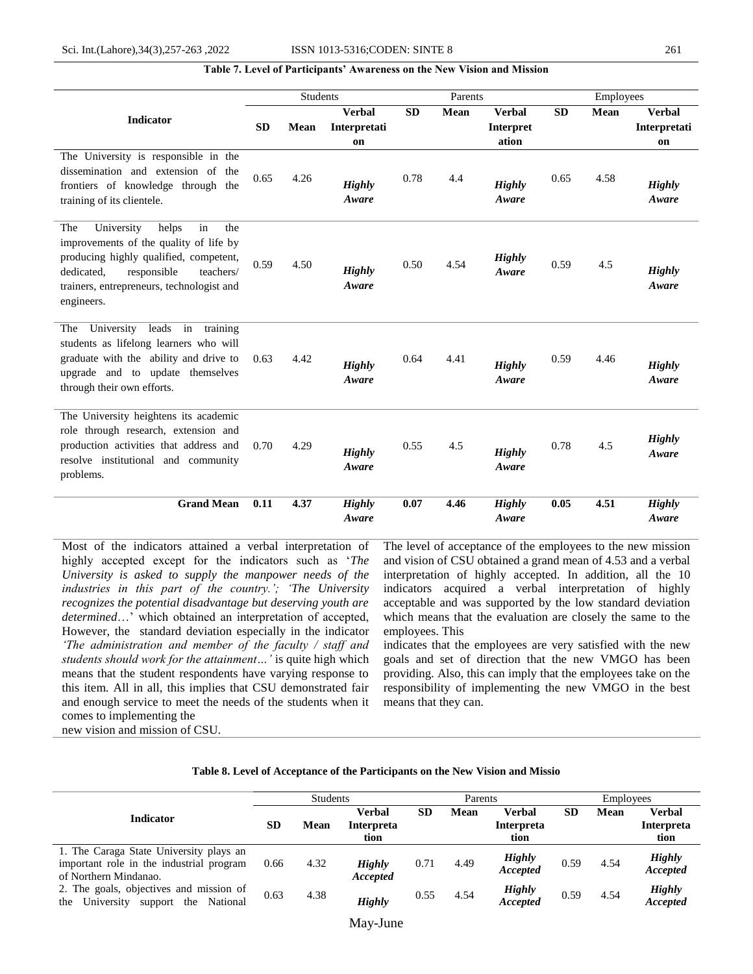## **Table 7. Level of Participants' Awareness on the New Vision and Mission**

|                                                                                                                                                                                                                                  |           | <b>Students</b> |                                     |           | Parents     |                                            |           | Employees   |                                     |  |
|----------------------------------------------------------------------------------------------------------------------------------------------------------------------------------------------------------------------------------|-----------|-----------------|-------------------------------------|-----------|-------------|--------------------------------------------|-----------|-------------|-------------------------------------|--|
| <b>Indicator</b>                                                                                                                                                                                                                 | <b>SD</b> | <b>Mean</b>     | <b>Verbal</b><br>Interpretati<br>on | <b>SD</b> | <b>Mean</b> | <b>Verbal</b><br><b>Interpret</b><br>ation | <b>SD</b> | <b>Mean</b> | <b>Verbal</b><br>Interpretati<br>on |  |
| The University is responsible in the<br>dissemination and extension of the<br>frontiers of knowledge through the<br>training of its clientele.                                                                                   | 0.65      | 4.26            | <b>Highly</b><br>Aware              | 0.78      | 4.4         | <b>Highly</b><br>Aware                     | 0.65      | 4.58        | <b>Highly</b><br>Aware              |  |
| University<br>helps<br>in<br>the<br>The<br>improvements of the quality of life by<br>producing highly qualified, competent,<br>dedicated,<br>responsible<br>teachers/<br>trainers, entrepreneurs, technologist and<br>engineers. | 0.59      | 4.50            | <b>Highly</b><br>Aware              | 0.50      | 4.54        | <b>Highly</b><br>Aware                     | 0.59      | 4.5         | Highly<br>Aware                     |  |
| University<br>leads<br>in<br>training<br>The<br>students as lifelong learners who will<br>graduate with the ability and drive to<br>upgrade and to update themselves<br>through their own efforts.                               | 0.63      | 4.42            | <b>Highly</b><br>Aware              | 0.64      | 4.41        | <b>Highly</b><br>Aware                     | 0.59      | 4.46        | <b>Highly</b><br>Aware              |  |
| The University heightens its academic<br>role through research, extension and<br>production activities that address and<br>resolve institutional and community<br>problems.                                                      | 0.70      | 4.29            | <b>Highly</b><br>Aware              | 0.55      | 4.5         | <b>Highly</b><br>Aware                     | 0.78      | 4.5         | <b>Highly</b><br>Aware              |  |
| <b>Grand Mean</b>                                                                                                                                                                                                                | 0.11      | 4.37            | <b>Highly</b><br>Aware              | 0.07      | 4.46        | <b>Highly</b><br>Aware                     | 0.05      | 4.51        | <b>Highly</b><br>Aware              |  |

Most of the indicators attained a verbal interpretation of highly accepted except for the indicators such as "*The University is asked to supply the manpower needs of the industries in this part of the country.'; 'The University recognizes the potential disadvantage but deserving youth are determined*…" which obtained an interpretation of accepted, However, the standard deviation especially in the indicator *'The administration and member of the faculty / staff and students should work for the attainment…'* is quite high which means that the student respondents have varying response to this item. All in all, this implies that CSU demonstrated fair and enough service to meet the needs of the students when it comes to implementing the new vision and mission of CSU.

The level of acceptance of the employees to the new mission and vision of CSU obtained a grand mean of 4.53 and a verbal interpretation of highly accepted. In addition, all the 10 indicators acquired a verbal interpretation of highly acceptable and was supported by the low standard deviation which means that the evaluation are closely the same to the employees. This

indicates that the employees are very satisfied with the new goals and set of direction that the new VMGO has been providing. Also, this can imply that the employees take on the responsibility of implementing the new VMGO in the best means that they can.

|                                                                                                              |           | <b>Students</b> |                                     |      | Parents |                                     |           | Employees |                                     |  |
|--------------------------------------------------------------------------------------------------------------|-----------|-----------------|-------------------------------------|------|---------|-------------------------------------|-----------|-----------|-------------------------------------|--|
| <b>Indicator</b>                                                                                             | <b>SD</b> | Mean            | Verbal<br><b>Interpreta</b><br>tion | SD   | Mean    | Verbal<br><b>Interpreta</b><br>tion | <b>SD</b> | Mean      | Verbal<br><b>Interpreta</b><br>tion |  |
| 1. The Caraga State University plays an<br>important role in the industrial program<br>of Northern Mindanao. | 0.66      | 4.32            | <b>Highly</b><br>Accepted           | 0.71 | 4.49    | <b>Highly</b><br>Accepted           | 0.59      | 4.54      | <b>Highly</b><br>Accepted           |  |
| 2. The goals, objectives and mission of<br>the University support<br>National<br>the                         | 0.63      | 4.38            | <b>Highly</b>                       | 0.55 | 4.54    | <b>Highly</b><br><b>Accepted</b>    | 0.59      | 4.54      | <b>Highly</b><br><b>Accepted</b>    |  |

May-June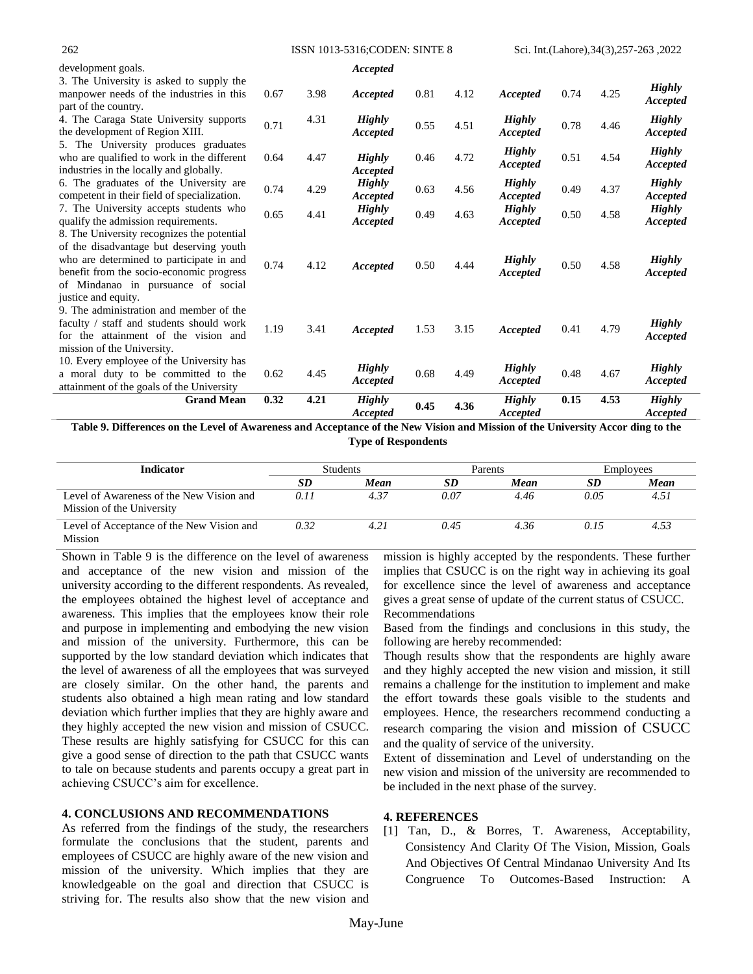#### 262 ISSN 1013-5316;CODEN: SINTE 8 Sci. Int.(Lahore),34(3),257-263 ,2022

| development goals.                                                                                                                                                                                                  |      |      | Accepted                  |      |      |                           |      |      |                           |
|---------------------------------------------------------------------------------------------------------------------------------------------------------------------------------------------------------------------|------|------|---------------------------|------|------|---------------------------|------|------|---------------------------|
| 3. The University is asked to supply the<br>manpower needs of the industries in this<br>part of the country.                                                                                                        | 0.67 | 3.98 | Accepted                  | 0.81 | 4.12 | Accepted                  | 0.74 | 4.25 | <b>Highly</b><br>Accepted |
| 4. The Caraga State University supports<br>the development of Region XIII.                                                                                                                                          | 0.71 | 4.31 | <b>Highly</b><br>Accepted | 0.55 | 4.51 | <b>Highly</b><br>Accepted | 0.78 | 4.46 | <b>Highly</b><br>Accepted |
| 5. The University produces graduates<br>who are qualified to work in the different<br>industries in the locally and globally.                                                                                       | 0.64 | 4.47 | <b>Highly</b><br>Accepted | 0.46 | 4.72 | <b>Highly</b><br>Accepted | 0.51 | 4.54 | <b>Highly</b><br>Accepted |
| 6. The graduates of the University are.<br>competent in their field of specialization.                                                                                                                              | 0.74 | 4.29 | <b>Highly</b><br>Accepted | 0.63 | 4.56 | <b>Highly</b><br>Accepted | 0.49 | 4.37 | <b>Highly</b><br>Accepted |
| 7. The University accepts students who<br>qualify the admission requirements.                                                                                                                                       | 0.65 | 4.41 | <b>Highly</b><br>Accepted | 0.49 | 4.63 | <b>Highly</b><br>Accepted | 0.50 | 4.58 | <b>Highly</b><br>Accepted |
| 8. The University recognizes the potential<br>of the disadvantage but deserving youth<br>who are determined to participate in and<br>benefit from the socio-economic progress<br>of Mindanao in pursuance of social | 0.74 | 4.12 | Accepted                  | 0.50 | 4.44 | <b>Highly</b><br>Accepted | 0.50 | 4.58 | <b>Highly</b><br>Accepted |
| justice and equity.<br>9. The administration and member of the<br>faculty / staff and students should work<br>for the attainment of the vision and<br>mission of the University.                                    | 1.19 | 3.41 | Accepted                  | 1.53 | 3.15 | Accepted                  | 0.41 | 4.79 | <b>Highly</b><br>Accepted |
| 10. Every employee of the University has<br>a moral duty to be committed to the<br>attainment of the goals of the University                                                                                        | 0.62 | 4.45 | <b>Highly</b><br>Accepted | 0.68 | 4.49 | <b>Highly</b><br>Accepted | 0.48 | 4.67 | <b>Highly</b><br>Accepted |
| <b>Grand Mean</b>                                                                                                                                                                                                   | 0.32 | 4.21 | <b>Highly</b><br>Accepted | 0.45 | 4.36 | <b>Highly</b><br>Accepted | 0.15 | 4.53 | <b>Highly</b><br>Accepted |

**Table 9. Differences on the Level of Awareness and Acceptance of the New Vision and Mission of the University Accor ding to the Type of Respondents**

| <b>Indicator</b>                                                      | <b>Students</b> |      | Parents |      | Employees |      |
|-----------------------------------------------------------------------|-----------------|------|---------|------|-----------|------|
|                                                                       | <b>SD</b>       | Mean | SD      | Mean | SD        | Mean |
| Level of Awareness of the New Vision and<br>Mission of the University | 0.11            | 4.37 | 0.07    | 4.46 | 0.05      | 4.51 |
| Level of Acceptance of the New Vision and<br>Mission                  | 0.32            |      | 0.45    | 4.36 | 0.15      | 4.53 |

Shown in Table 9 is the difference on the level of awareness and acceptance of the new vision and mission of the university according to the different respondents. As revealed, the employees obtained the highest level of acceptance and awareness. This implies that the employees know their role and purpose in implementing and embodying the new vision and mission of the university. Furthermore, this can be supported by the low standard deviation which indicates that the level of awareness of all the employees that was surveyed are closely similar. On the other hand, the parents and students also obtained a high mean rating and low standard deviation which further implies that they are highly aware and they highly accepted the new vision and mission of CSUCC. These results are highly satisfying for CSUCC for this can give a good sense of direction to the path that CSUCC wants to tale on because students and parents occupy a great part in achieving CSUCC"s aim for excellence.

## **4. CONCLUSIONS AND RECOMMENDATIONS**

As referred from the findings of the study, the researchers formulate the conclusions that the student, parents and employees of CSUCC are highly aware of the new vision and mission of the university. Which implies that they are knowledgeable on the goal and direction that CSUCC is striving for. The results also show that the new vision and

mission is highly accepted by the respondents. These further implies that CSUCC is on the right way in achieving its goal for excellence since the level of awareness and acceptance gives a great sense of update of the current status of CSUCC. Recommendations

Based from the findings and conclusions in this study, the following are hereby recommended:

Though results show that the respondents are highly aware and they highly accepted the new vision and mission, it still remains a challenge for the institution to implement and make the effort towards these goals visible to the students and employees. Hence, the researchers recommend conducting a research comparing the vision and mission of CSUCC and the quality of service of the university.

Extent of dissemination and Level of understanding on the new vision and mission of the university are recommended to be included in the next phase of the survey.

## **4. REFERENCES**

[1] Tan, D., & Borres, T. Awareness, Acceptability, Consistency And Clarity Of The Vision, Mission, Goals And Objectives Of Central Mindanao University And Its Congruence To Outcomes-Based Instruction: A